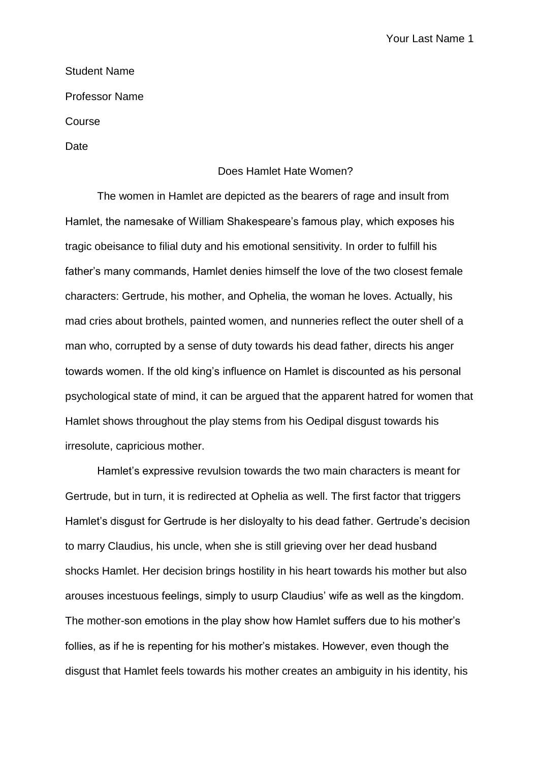Your Last Name 1

## Student Name

Professor Name

Course

Date

## Does Hamlet Hate Women?

The women in Hamlet are depicted as the bearers of rage and insult from Hamlet, the namesake of William Shakespeare's famous play, which exposes his tragic obeisance to filial duty and his emotional sensitivity. In order to fulfill his father's many commands, Hamlet denies himself the love of the two closest female characters: Gertrude, his mother, and Ophelia, the woman he loves. Actually, his mad cries about brothels, painted women, and nunneries reflect the outer shell of a man who, corrupted by a sense of duty towards his dead father, directs his anger towards women. If the old king's influence on Hamlet is discounted as his personal psychological state of mind, it can be argued that the apparent hatred for women that Hamlet shows throughout the play stems from his Oedipal disgust towards his irresolute, capricious mother.

Hamlet's expressive revulsion towards the two main characters is meant for Gertrude, but in turn, it is redirected at Ophelia as well. The first factor that triggers Hamlet's disgust for Gertrude is her disloyalty to his dead father. Gertrude's decision to marry Claudius, his uncle, when she is still grieving over her dead husband shocks Hamlet. Her decision brings hostility in his heart towards his mother but also arouses incestuous feelings, simply to usurp Claudius' wife as well as the kingdom. The mother-son emotions in the play show how Hamlet suffers due to his mother's follies, as if he is repenting for his mother's mistakes. However, even though the disgust that Hamlet feels towards his mother creates an ambiguity in his identity, his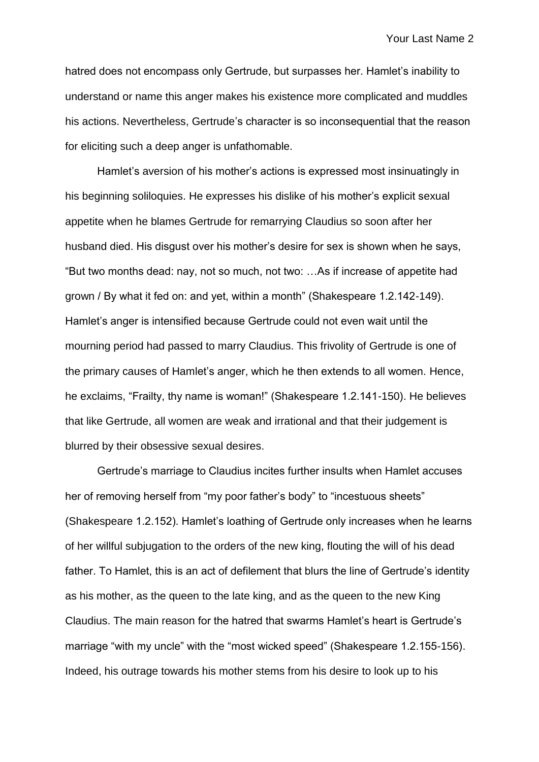hatred does not encompass only Gertrude, but surpasses her. Hamlet's inability to understand or name this anger makes his existence more complicated and muddles his actions. Nevertheless, Gertrude's character is so inconsequential that the reason for eliciting such a deep anger is unfathomable.

Hamlet's aversion of his mother's actions is expressed most insinuatingly in his beginning soliloquies. He expresses his dislike of his mother's explicit sexual appetite when he blames Gertrude for remarrying Claudius so soon after her husband died. His disgust over his mother's desire for sex is shown when he says, "But two months dead: nay, not so much, not two: …As if increase of appetite had grown / By what it fed on: and yet, within a month" (Shakespeare 1.2.142-149). Hamlet's anger is intensified because Gertrude could not even wait until the mourning period had passed to marry Claudius. This frivolity of Gertrude is one of the primary causes of Hamlet's anger, which he then extends to all women. Hence, he exclaims, "Frailty, thy name is woman!" (Shakespeare 1.2.141-150). He believes that like Gertrude, all women are weak and irrational and that their judgement is blurred by their obsessive sexual desires.

Gertrude's marriage to Claudius incites further insults when Hamlet accuses her of removing herself from "my poor father's body" to "incestuous sheets" (Shakespeare 1.2.152). Hamlet's loathing of Gertrude only increases when he learns of her willful subjugation to the orders of the new king, flouting the will of his dead father. To Hamlet, this is an act of defilement that blurs the line of Gertrude's identity as his mother, as the queen to the late king, and as the queen to the new King Claudius. The main reason for the hatred that swarms Hamlet's heart is Gertrude's marriage "with my uncle" with the "most wicked speed" (Shakespeare 1.2.155-156). Indeed, his outrage towards his mother stems from his desire to look up to his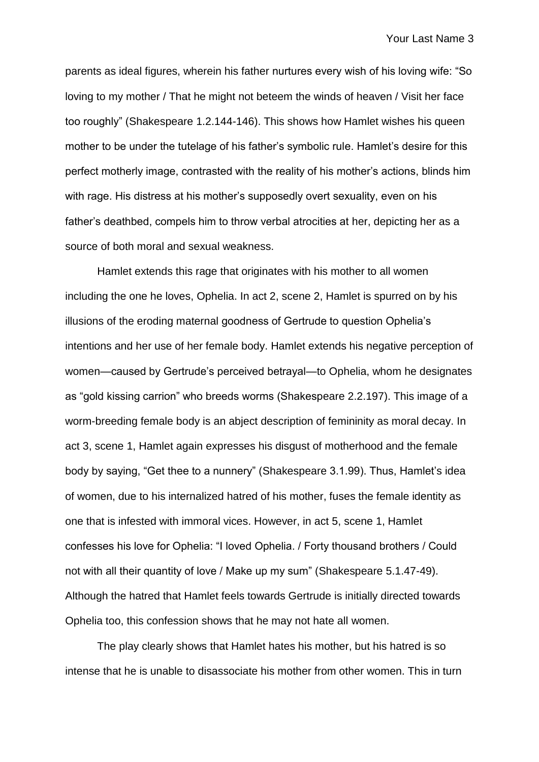parents as ideal figures, wherein his father nurtures every wish of his loving wife: "So loving to my mother / That he might not beteem the winds of heaven / Visit her face too roughly" (Shakespeare 1.2.144-146). This shows how Hamlet wishes his queen mother to be under the tutelage of his father's symbolic rule. Hamlet's desire for this perfect motherly image, contrasted with the reality of his mother's actions, blinds him with rage. His distress at his mother's supposedly overt sexuality, even on his father's deathbed, compels him to throw verbal atrocities at her, depicting her as a source of both moral and sexual weakness.

Hamlet extends this rage that originates with his mother to all women including the one he loves, Ophelia. In act 2, scene 2, Hamlet is spurred on by his illusions of the eroding maternal goodness of Gertrude to question Ophelia's intentions and her use of her female body. Hamlet extends his negative perception of women—caused by Gertrude's perceived betrayal—to Ophelia, whom he designates as "gold kissing carrion" who breeds worms (Shakespeare 2.2.197). This image of a worm-breeding female body is an abject description of femininity as moral decay. In act 3, scene 1, Hamlet again expresses his disgust of motherhood and the female body by saying, "Get thee to a nunnery" (Shakespeare 3.1.99). Thus, Hamlet's idea of women, due to his internalized hatred of his mother, fuses the female identity as one that is infested with immoral vices. However, in act 5, scene 1, Hamlet confesses his love for Ophelia: "I loved Ophelia. / Forty thousand brothers / Could not with all their quantity of love / Make up my sum" (Shakespeare 5.1.47-49). Although the hatred that Hamlet feels towards Gertrude is initially directed towards Ophelia too, this confession shows that he may not hate all women.

The play clearly shows that Hamlet hates his mother, but his hatred is so intense that he is unable to disassociate his mother from other women. This in turn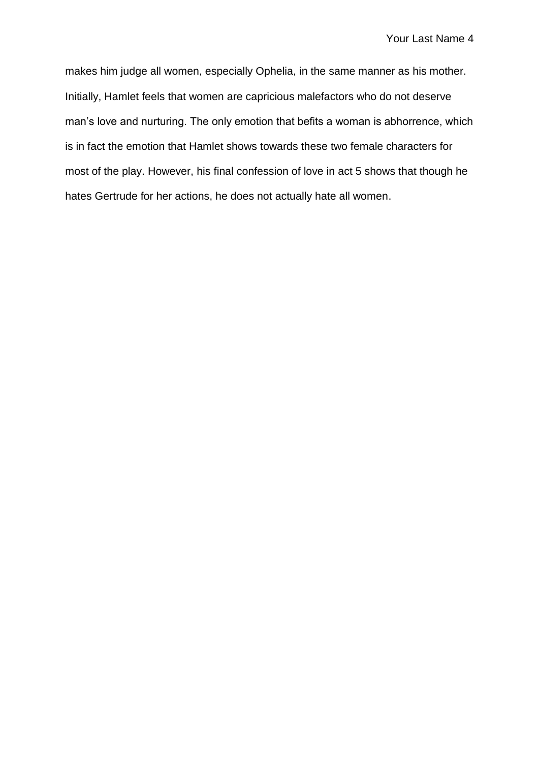makes him judge all women, especially Ophelia, in the same manner as his mother. Initially, Hamlet feels that women are capricious malefactors who do not deserve man's love and nurturing. The only emotion that befits a woman is abhorrence, which is in fact the emotion that Hamlet shows towards these two female characters for most of the play. However, his final confession of love in act 5 shows that though he hates Gertrude for her actions, he does not actually hate all women.